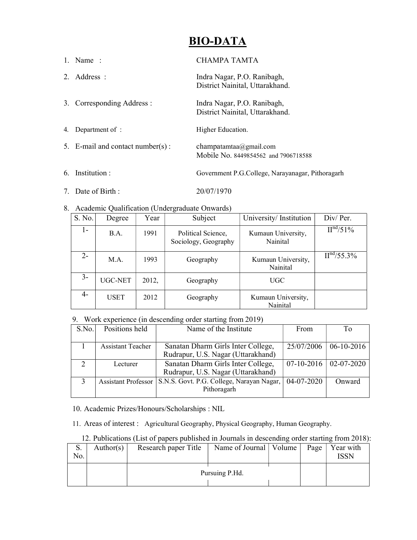# BIO-DATA

|    | 1. Name:                         | СНАМРА ТАМТА                                                   |
|----|----------------------------------|----------------------------------------------------------------|
|    | 2. Address :                     | Indra Nagar, P.O. Ranibagh,<br>District Nainital, Uttarakhand. |
|    | 3. Corresponding Address :       | Indra Nagar, P.O. Ranibagh,<br>District Nainital, Uttarakhand. |
| 4. | Department of:                   | Higher Education.                                              |
|    | 5. E-mail and contact number(s): | champatamtaa@gmail.com<br>Mobile No. 8449854562 and 7906718588 |
|    | 6. Institution :                 | Government P.G.College, Narayanagar, Pithoragarh               |

- 7. Date of Birth : 20/07/1970
- 8. Academic Qualification (Undergraduate Onwards)

| S. No. | Degree      | Year  | Subject                                    | University/Institution         | Div/Per.                |
|--------|-------------|-------|--------------------------------------------|--------------------------------|-------------------------|
| 1 -    | B.A.        | 1991  | Political Science,<br>Sociology, Geography | Kumaun University,<br>Nainital | II <sup>nd</sup> /51%   |
| $2 -$  | M.A.        | 1993  | Geography                                  | Kumaun University,<br>Nainital | II <sup>nd</sup> /55.3% |
| $3-$   | UGC-NET     | 2012, | Geography                                  | UGC                            |                         |
| $4-$   | <b>USET</b> | 2012  | Geography                                  | Kumaun University,<br>Nainital |                         |

### 9. Work experience (in descending order starting from 2019)

| S.No. | Positions held                                                 | Name of the Institute                     | From                                  |              |
|-------|----------------------------------------------------------------|-------------------------------------------|---------------------------------------|--------------|
|       |                                                                |                                           |                                       |              |
|       | Sanatan Dharm Girls Inter College,<br><b>Assistant Teacher</b> |                                           | 25/07/2006                            | $06-10-2016$ |
|       |                                                                | Rudrapur, U.S. Nagar (Uttarakhand)        |                                       |              |
|       | Lecturer                                                       | Sanatan Dharm Girls Inter College,        | $\vert$ 07-10-2016 $\vert$ 02-07-2020 |              |
|       |                                                                | Rudrapur, U.S. Nagar (Uttarakhand)        |                                       |              |
|       | <b>Assistant Professor</b>                                     | S.N.S. Govt. P.G. College, Narayan Nagar, | 04-07-2020                            | Onward       |
|       |                                                                | Pithoragarh                               |                                       |              |
|       |                                                                |                                           |                                       |              |

10. Academic Prizes/Honours/Scholarships : NIL

11. Areas of interest : Agricultural Geography, Physical Geography, Human Geography.

## 12. Publications (List of papers published in Journals in descending order starting from 2018):

| S.<br>No. | Author(s) $\vert$ | Research paper Title | Name of Journal   Volume |  | Page   Year with<br>ISSN |
|-----------|-------------------|----------------------|--------------------------|--|--------------------------|
|           |                   | Pursuing P.Hd.       |                          |  |                          |